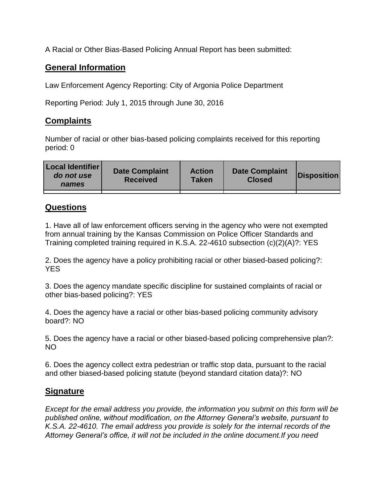A Racial or Other Bias-Based Policing Annual Report has been submitted:

## **General Information**

Law Enforcement Agency Reporting: City of Argonia Police Department

Reporting Period: July 1, 2015 through June 30, 2016

## **Complaints**

Number of racial or other bias-based policing complaints received for this reporting period: 0

| <b>Local Identifier</b><br>do not use<br>names | <b>Date Complaint</b><br><b>Received</b> | <b>Action</b><br><b>Taken</b> | <b>Date Complaint</b><br><b>Closed</b> | Disposition |
|------------------------------------------------|------------------------------------------|-------------------------------|----------------------------------------|-------------|
|                                                |                                          |                               |                                        |             |

## **Questions**

1. Have all of law enforcement officers serving in the agency who were not exempted from annual training by the Kansas Commission on Police Officer Standards and Training completed training required in K.S.A. 22-4610 subsection (c)(2)(A)?: YES

2. Does the agency have a policy prohibiting racial or other biased-based policing?: YES

3. Does the agency mandate specific discipline for sustained complaints of racial or other bias-based policing?: YES

4. Does the agency have a racial or other bias-based policing community advisory board?: NO

5. Does the agency have a racial or other biased-based policing comprehensive plan?: NO

6. Does the agency collect extra pedestrian or traffic stop data, pursuant to the racial and other biased-based policing statute (beyond standard citation data)?: NO

## **Signature**

*Except for the email address you provide, the information you submit on this form will be published online, without modification, on the Attorney General's website, pursuant to K.S.A. 22-4610. The email address you provide is solely for the internal records of the Attorney General's office, it will not be included in the online document.If you need*